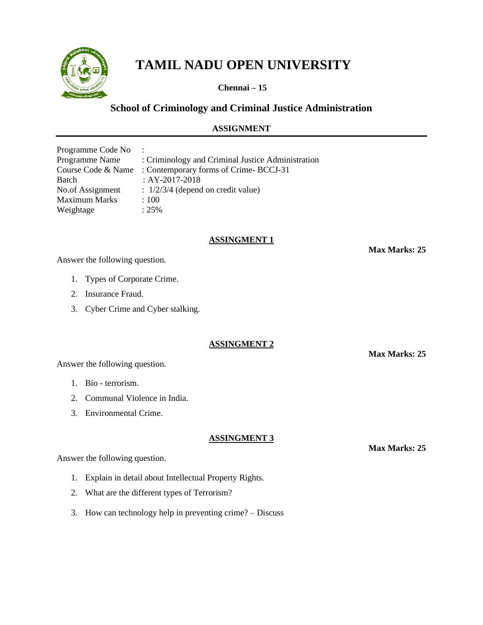

# **TAMIL NADU OPEN UNIVERSITY**

**Chennai – 15**

# **School of Criminology and Criminal Justice Administration**

# **ASSIGNMENT**

| Programme Code No    | $\ddot{\phantom{a}}$                              |
|----------------------|---------------------------------------------------|
| Programme Name       | : Criminology and Criminal Justice Administration |
| Course Code & Name   | : Contemporary forms of Crime-BCCJ-31             |
| <b>Batch</b>         | : AY-2017-2018                                    |
| No.of Assignment     | $\therefore$ 1/2/3/4 (depend on credit value)     |
| <b>Maximum Marks</b> | :100                                              |
| Weightage            | $: 25\%$                                          |

## **ASSINGMENT 1**

Answer the following question.

- 1. Types of Corporate Crime.
- 2. Insurance Fraud.
- 3. Cyber Crime and Cyber stalking.

**ASSINGMENT 2**

Answer the following question.

- 1. Bio terrorism.
- 2. Communal Violence in India.
- 3. Environmental Crime.

## **ASSINGMENT 3**

Answer the following question.

- 1. Explain in detail about Intellectual Property Rights.
- 2. What are the different types of Terrorism?
- 3. How can technology help in preventing crime? Discuss

**Max Marks: 25**

**Max Marks: 25**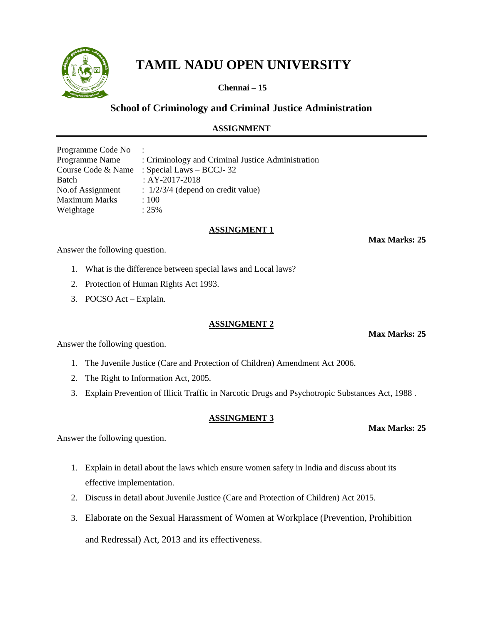

**Chennai – 15**

# **School of Criminology and Criminal Justice Administration**

# **ASSIGNMENT**

| Programme Code No    |                                                   |
|----------------------|---------------------------------------------------|
| Programme Name       | : Criminology and Criminal Justice Administration |
| Course Code & Name   | : Special Laws $-$ BCCJ-32                        |
| Batch                | : AY-2017-2018                                    |
| No.of Assignment     | $: 1/2/3/4$ (depend on credit value)              |
| <b>Maximum Marks</b> | :100                                              |
| Weightage            | $: 25\%$                                          |
|                      |                                                   |

#### **ASSINGMENT 1**

**Max Marks: 25**

Answer the following question.

- 1. What is the difference between special laws and Local laws?
- 2. Protection of Human Rights Act 1993.
- 3. POCSO Act Explain.

## **ASSINGMENT 2**

Answer the following question.

- 1. The Juvenile Justice (Care and Protection of Children) Amendment Act 2006.
- 2. The Right to Information Act, 2005.
- 3. Explain Prevention of Illicit Traffic in Narcotic Drugs and Psychotropic Substances Act, 1988 .

#### **ASSINGMENT 3**

Answer the following question.

- 1. Explain in detail about the laws which ensure women safety in India and discuss about its effective implementation.
- 2. Discuss in detail about Juvenile Justice (Care and Protection of Children) Act 2015.
- 3. Elaborate on the Sexual Harassment of Women at Workplace (Prevention, Prohibition and Redressal) Act, 2013 and its effectiveness.

**Max Marks: 25**

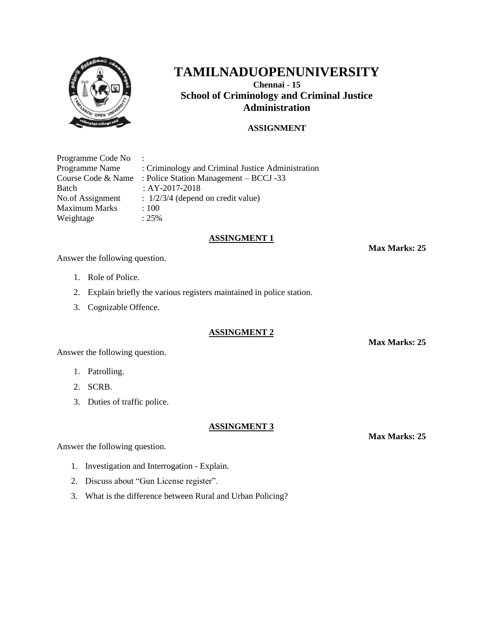

# **TAMILNADUOPENUNIVERSITY**

**Chennai - 15 School of Criminology and Criminal Justice Administration**

### **ASSIGNMENT**

Programme Code No : Programme Name : Criminology and Criminal Justice Administration Course Code & Name : Police Station Management – BCCJ -33 Batch : AY-2017-2018 No.of Assignment :  $1/2/3/4$  (depend on credit value) Maximum Marks : 100 Weightage : 25%

#### **ASSINGMENT 1**

**Max Marks: 25**

Answer the following question.

- 1. Role of Police.
- 2. Explain briefly the various registers maintained in police station.
- 3. Cognizable Offence.

#### **ASSINGMENT 2**

Answer the following question.

- 1. Patrolling.
- 2. SCRB.
- 3. Duties of traffic police.

#### **ASSINGMENT 3**

Answer the following question.

- 1. Investigation and Interrogation Explain.
- 2. Discuss about "Gun License register".
- 3. What is the difference between Rural and Urban Policing?

**Max Marks: 25**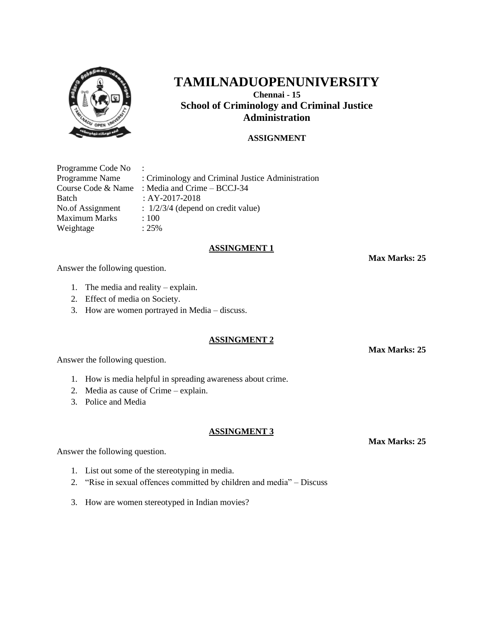

# **TAMILNADUOPENUNIVERSITY Chennai - 15 School of Criminology and Criminal Justice Administration**

# **ASSIGNMENT**

| Programme Code No    | $\ddot{\phantom{a}}$                              |
|----------------------|---------------------------------------------------|
| Programme Name       | : Criminology and Criminal Justice Administration |
| Course Code & Name   | : Media and Crime – BCCJ-34                       |
| Batch                | : $AY-2017-2018$                                  |
| No.of Assignment     | $\therefore$ 1/2/3/4 (depend on credit value)     |
| <b>Maximum Marks</b> | :100                                              |
| Weightage            | $: 25\%$                                          |

#### **ASSINGMENT 1**

**Max Marks: 25**

Answer the following question.

- 1. The media and reality explain.
- 2. Effect of media on Society.
- 3. How are women portrayed in Media discuss.

#### **ASSINGMENT 2**

**Max Marks: 25**

Answer the following question.

- 1. How is media helpful in spreading awareness about crime.
- 2. Media as cause of Crime explain.
- 3. Police and Media

#### **ASSINGMENT 3**

Answer the following question.

- 1. List out some of the stereotyping in media.
- 2. "Rise in sexual offences committed by children and media" Discuss
- 3. How are women stereotyped in Indian movies?